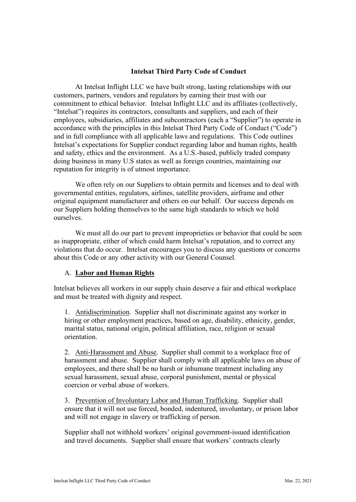## **Intelsat Third Party Code of Conduct**

At Intelsat Inflight LLC we have built strong, lasting relationships with our customers, partners, vendors and regulators by earning their trust with our commitment to ethical behavior. Intelsat Inflight LLC and its affiliates (collectively, "Intelsat") requires its contractors, consultants and suppliers, and each of their employees, subsidiaries, affiliates and subcontractors (each a "Supplier") to operate in accordance with the principles in this Intelsat Third Party Code of Conduct ("Code") and in full compliance with all applicable laws and regulations. This Code outlines Intelsat's expectations for Supplier conduct regarding labor and human rights, health and safety, ethics and the environment. As a U.S.-based, publicly traded company doing business in many U.S states as well as foreign countries, maintaining our reputation for integrity is of utmost importance.

We often rely on our Suppliers to obtain permits and licenses and to deal with governmental entities, regulators, airlines, satellite providers, airframe and other original equipment manufacturer and others on our behalf. Our success depends on our Suppliers holding themselves to the same high standards to which we hold ourselves.

We must all do our part to prevent improprieties or behavior that could be seen as inappropriate, either of which could harm Intelsat's reputation, and to correct any violations that do occur. Intelsat encourages you to discuss any questions or concerns about this Code or any other activity with our General Counsel.

### A. **Labor and Human Rights**

Intelsat believes all workers in our supply chain deserve a fair and ethical workplace and must be treated with dignity and respect.

1. Antidiscrimination. Supplier shall not discriminate against any worker in hiring or other employment practices, based on age, disability, ethnicity, gender, marital status, national origin, political affiliation, race, religion or sexual orientation.

2. Anti-Harassment and Abuse. Supplier shall commit to a workplace free of harassment and abuse. Supplier shall comply with all applicable laws on abuse of employees, and there shall be no harsh or inhumane treatment including any sexual harassment, sexual abuse, corporal punishment, mental or physical coercion or verbal abuse of workers.

3. Prevention of Involuntary Labor and Human Trafficking. Supplier shall ensure that it will not use forced, bonded, indentured, involuntary, or prison labor and will not engage in slavery or trafficking of person.

Supplier shall not withhold workers' original government-issued identification and travel documents. Supplier shall ensure that workers' contracts clearly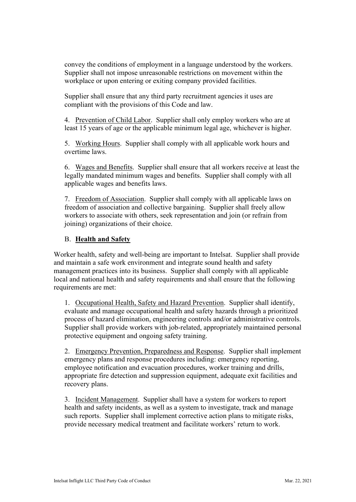convey the conditions of employment in a language understood by the workers. Supplier shall not impose unreasonable restrictions on movement within the workplace or upon entering or exiting company provided facilities.

Supplier shall ensure that any third party recruitment agencies it uses are compliant with the provisions of this Code and law.

4. Prevention of Child Labor. Supplier shall only employ workers who are at least 15 years of age or the applicable minimum legal age, whichever is higher.

5. Working Hours. Supplier shall comply with all applicable work hours and overtime laws.

6. Wages and Benefits. Supplier shall ensure that all workers receive at least the legally mandated minimum wages and benefits. Supplier shall comply with all applicable wages and benefits laws.

7. Freedom of Association. Supplier shall comply with all applicable laws on freedom of association and collective bargaining. Supplier shall freely allow workers to associate with others, seek representation and join (or refrain from joining) organizations of their choice.

## B. **Health and Safety**

Worker health, safety and well-being are important to Intelsat. Supplier shall provide and maintain a safe work environment and integrate sound health and safety management practices into its business. Supplier shall comply with all applicable local and national health and safety requirements and shall ensure that the following requirements are met:

1. Occupational Health, Safety and Hazard Prevention. Supplier shall identify, evaluate and manage occupational health and safety hazards through a prioritized process of hazard elimination, engineering controls and/or administrative controls. Supplier shall provide workers with job-related, appropriately maintained personal protective equipment and ongoing safety training.

2. Emergency Prevention, Preparedness and Response. Supplier shall implement emergency plans and response procedures including: emergency reporting, employee notification and evacuation procedures, worker training and drills, appropriate fire detection and suppression equipment, adequate exit facilities and recovery plans.

3. Incident Management. Supplier shall have a system for workers to report health and safety incidents, as well as a system to investigate, track and manage such reports. Supplier shall implement corrective action plans to mitigate risks, provide necessary medical treatment and facilitate workers' return to work.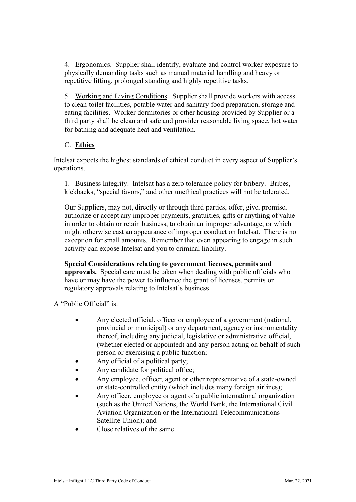4. Ergonomics. Supplier shall identify, evaluate and control worker exposure to physically demanding tasks such as manual material handling and heavy or repetitive lifting, prolonged standing and highly repetitive tasks.

5. Working and Living Conditions. Supplier shall provide workers with access to clean toilet facilities, potable water and sanitary food preparation, storage and eating facilities. Worker dormitories or other housing provided by Supplier or a third party shall be clean and safe and provider reasonable living space, hot water for bathing and adequate heat and ventilation.

# C. **Ethics**

Intelsat expects the highest standards of ethical conduct in every aspect of Supplier's operations.

1. Business Integrity. Intelsat has a zero tolerance policy for bribery. Bribes, kickbacks, "special favors," and other unethical practices will not be tolerated.

Our Suppliers, may not, directly or through third parties, offer, give, promise, authorize or accept any improper payments, gratuities, gifts or anything of value in order to obtain or retain business, to obtain an improper advantage, or which might otherwise cast an appearance of improper conduct on Intelsat. There is no exception for small amounts. Remember that even appearing to engage in such activity can expose Intelsat and you to criminal liability.

**Special Considerations relating to government licenses, permits and approvals.** Special care must be taken when dealing with public officials who have or may have the power to influence the grant of licenses, permits or regulatory approvals relating to Intelsat's business.

A "Public Official" is:

- Any elected official, officer or employee of a government (national, provincial or municipal) or any department, agency or instrumentality thereof, including any judicial, legislative or administrative official, (whether elected or appointed) and any person acting on behalf of such person or exercising a public function;
- Any official of a political party;
- Any candidate for political office;
- Any employee, officer, agent or other representative of a state-owned or state-controlled entity (which includes many foreign airlines);
- Any officer, employee or agent of a public international organization (such as the United Nations, the World Bank, the International Civil Aviation Organization or the International Telecommunications Satellite Union); and
- Close relatives of the same.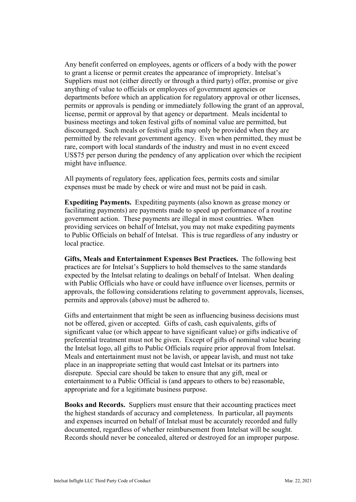Any benefit conferred on employees, agents or officers of a body with the power to grant a license or permit creates the appearance of impropriety. Intelsat's Suppliers must not (either directly or through a third party) offer, promise or give anything of value to officials or employees of government agencies or departments before which an application for regulatory approval or other licenses, permits or approvals is pending or immediately following the grant of an approval, license, permit or approval by that agency or department. Meals incidental to business meetings and token festival gifts of nominal value are permitted, but discouraged. Such meals or festival gifts may only be provided when they are permitted by the relevant government agency. Even when permitted, they must be rare, comport with local standards of the industry and must in no event exceed US\$75 per person during the pendency of any application over which the recipient might have influence.

All payments of regulatory fees, application fees, permits costs and similar expenses must be made by check or wire and must not be paid in cash.

**Expediting Payments.** Expediting payments (also known as grease money or facilitating payments) are payments made to speed up performance of a routine government action. These payments are illegal in most countries. When providing services on behalf of Intelsat, you may not make expediting payments to Public Officials on behalf of Intelsat. This is true regardless of any industry or local practice.

**Gifts, Meals and Entertainment Expenses Best Practices.** The following best practices are for Intelsat's Suppliers to hold themselves to the same standards expected by the Intelsat relating to dealings on behalf of Intelsat. When dealing with Public Officials who have or could have influence over licenses, permits or approvals, the following considerations relating to government approvals, licenses, permits and approvals (above) must be adhered to.

Gifts and entertainment that might be seen as influencing business decisions must not be offered, given or accepted. Gifts of cash, cash equivalents, gifts of significant value (or which appear to have significant value) or gifts indicative of preferential treatment must not be given. Except of gifts of nominal value bearing the Intelsat logo, all gifts to Public Officials require prior approval from Intelsat. Meals and entertainment must not be lavish, or appear lavish, and must not take place in an inappropriate setting that would cast Intelsat or its partners into disrepute. Special care should be taken to ensure that any gift, meal or entertainment to a Public Official is (and appears to others to be) reasonable, appropriate and for a legitimate business purpose.

**Books and Records.** Suppliers must ensure that their accounting practices meet the highest standards of accuracy and completeness. In particular, all payments and expenses incurred on behalf of Intelsat must be accurately recorded and fully documented, regardless of whether reimbursement from Intelsat will be sought. Records should never be concealed, altered or destroyed for an improper purpose.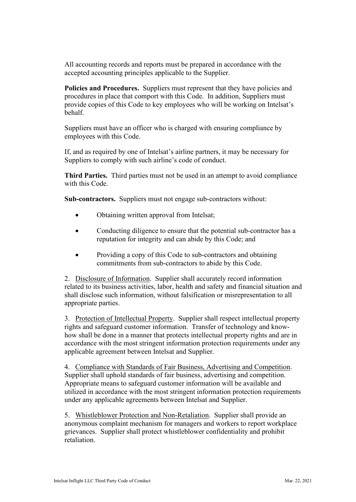All accounting records and reports must be prepared in accordance with the accepted accounting principles applicable to the Supplier.

**Policies and Procedures.** Suppliers must represent that they have policies and procedures in place that comport with this Code. In addition, Suppliers must provide copies of this Code to key employees who will be working on Intelsat's behalf.

Suppliers must have an officer who is charged with ensuring compliance by employees with this Code.

If, and as required by one of Intelsat's airline partners, it may be necessary for Suppliers to comply with such airline's code of conduct.

**Third Parties.** Third parties must not be used in an attempt to avoid compliance with this Code.

**Sub-contractors.** Suppliers must not engage sub-contractors without:

- Obtaining written approval from Intelsat;
- Conducting diligence to ensure that the potential sub-contractor has a reputation for integrity and can abide by this Code; and
- Providing a copy of this Code to sub-contractors and obtaining commitments from sub-contractors to abide by this Code.

2. Disclosure of Information. Supplier shall accurately record information related to its business activities, labor, health and safety and financial situation and shall disclose such information, without falsification or misrepresentation to all appropriate parties.

3. Protection of Intellectual Property. Supplier shall respect intellectual property rights and safeguard customer information. Transfer of technology and knowhow shall be done in a manner that protects intellectual property rights and are in accordance with the most stringent information protection requirements under any applicable agreement between Intelsat and Supplier.

4. Compliance with Standards of Fair Business, Advertising and Competition. Supplier shall uphold standards of fair business, advertising and competition. Appropriate means to safeguard customer information will be available and utilized in accordance with the most stringent information protection requirements under any applicable agreements between Intelsat and Supplier.

5. Whistleblower Protection and Non-Retaliation. Supplier shall provide an anonymous complaint mechanism for managers and workers to report workplace grievances. Supplier shall protect whistleblower confidentiality and prohibit retaliation.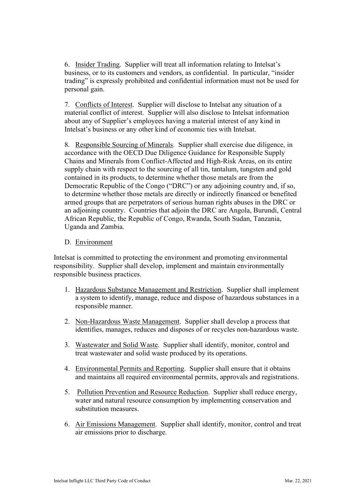6. Insider Trading. Supplier will treat all information relating to Intelsat's business, or to its customers and vendors, as confidential. In particular, "insider trading" is expressly prohibited and confidential information must not be used for personal gain.

7. Conflicts of Interest. Supplier will disclose to Intelsat any situation of a material conflict of interest. Supplier will also disclose to Intelsat information about any of Supplier's employees having a material interest of any kind in Intelsat's business or any other kind of economic ties with Intelsat.

8. Responsible Sourcing of Minerals. Supplier shall exercise due diligence, in accordance with the OECD Due Diligence Guidance for Responsible Supply Chains and Minerals from Conflict-Affected and High-Risk Areas, on its entire supply chain with respect to the sourcing of all tin, tantalum, tungsten and gold contained in its products, to determine whether those metals are from the Democratic Republic of the Congo ("DRC") or any adjoining country and, if so, to determine whether those metals are directly or indirectly financed or benefited armed groups that are perpetrators of serious human rights abuses in the DRC or an adjoining country. Countries that adjoin the DRC are Angola, Burundi, Central African Republic, the Republic of Congo, Rwanda, South Sudan, Tanzania, Uganda and Zambia.

### D. Environment

Intelsat is committed to protecting the environment and promoting environmental responsibility. Supplier shall develop, implement and maintain environmentally responsible business practices.

- 1. Hazardous Substance Management and Restriction. Supplier shall implement a system to identify, manage, reduce and dispose of hazardous substances in a responsible manner.
- 2. Non-Hazardous Waste Management. Supplier shall develop a process that identifies, manages, reduces and disposes of or recycles non-hazardous waste.
- 3. Wastewater and Solid Waste. Supplier shall identify, monitor, control and treat wastewater and solid waste produced by its operations.
- 4. Environmental Permits and Reporting. Supplier shall ensure that it obtains and maintains all required environmental permits, approvals and registrations.
- 5. Pollution Prevention and Resource Reduction. Supplier shall reduce energy, water and natural resource consumption by implementing conservation and substitution measures.
- 6. Air Emissions Management. Supplier shall identify, monitor, control and treat air emissions prior to discharge.